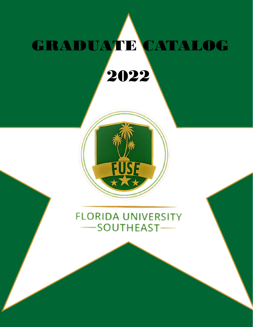# GRADUATE CATALOG 2022



# **FLORIDA UNIVERSITY** SOUTHEAST-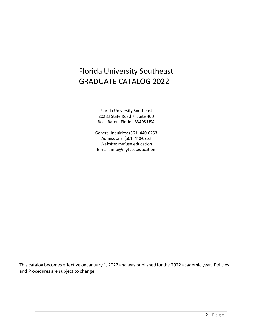# Florida University Southeast GRADUATE CATALOG 2022

Florida University Southeast 20283 State Road 7, Suite 400 Boca Raton, Florida 33498 USA

General Inquiries: (561) 440-0253 Admissions: (561) 440-0253 Website: myfuse.education E-mail: info@myfuse.education

This catalog becomes effective on January 1, 2022 and was published forthe 2022 academic year. Policies and Procedures are subject to change.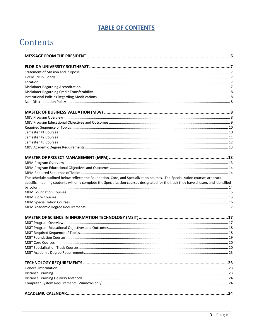# **TABLE OF CONTENTS**

# Contents

| The schedule outlined below reflects the Foundation, Core, and Specialization courses. The Specialization courses are track-       |  |
|------------------------------------------------------------------------------------------------------------------------------------|--|
| specific, meaning students will only complete the Specialization courses designated for the track they have chosen, and identified |  |
|                                                                                                                                    |  |
|                                                                                                                                    |  |
|                                                                                                                                    |  |
|                                                                                                                                    |  |
|                                                                                                                                    |  |
|                                                                                                                                    |  |
|                                                                                                                                    |  |
|                                                                                                                                    |  |
|                                                                                                                                    |  |
|                                                                                                                                    |  |
|                                                                                                                                    |  |
|                                                                                                                                    |  |
|                                                                                                                                    |  |
|                                                                                                                                    |  |
|                                                                                                                                    |  |
|                                                                                                                                    |  |
|                                                                                                                                    |  |
|                                                                                                                                    |  |
|                                                                                                                                    |  |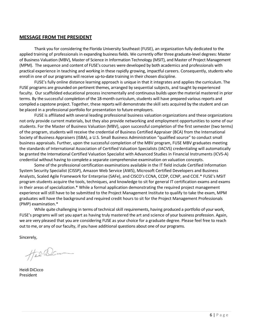#### **MESSAGE FROM THE PRESIDENT**

Thank you for considering the Florida University Southeast (FUSE), an organization fully dedicated to the applied training of professionals in expanding business fields. We currently offer three graduate-level degrees: Master of Business Valuation (MBV), Master of Science in Information Technology (MSIT), and Master of Project Management (MPM). The sequence and content of FUSE's courses were developed by both academics and professionals with practical experience in teaching and working in these rapidly growing, impactful careers. Consequently, students who enroll in one of our programs will receive up-to-date training in their chosen discipline.

FUSE's fully online distance learning approach is unique in that it integrates and applies the curriculum. The FUSE programs are grounded on pertinent themes, arranged by sequential subjects, and taught by experienced faculty. Our scaffolded educational process incrementally and continuous builds upon the material mastered in prior terms. By the successful completion of the 18-month curriculum, students will have prepared various reports and compiled a capstone project. Together, these reports will demonstrate the skill sets acquired by the student and can be placed in a professional portfolio for presentation to future employers.

FUSE is affiliated with several leading professional business valuation organizations and these organizations not only provide current materials, but they also provide networking and employment opportunities to some of our students. For the Master of Business Valuation (MBV), upon successful completion of the first semester (two terms) of the program, students will receive the credential of Business Certified Appraiser (BCA) from the International Society of Business Appraisers (ISBA), a U.S. Small Business Administration "qualified source" to conduct small business appraisals. Further, upon the successful completion of the MBV program, FUSE MBV graduates meeting the standards of International Association of Certified Valuation Specialists (IACVS) credentialing will automatically be granted the International Certified Valuation Specialist with Advanced Studies in Financial Instruments (ICVS-A) credential without having to complete a separate comprehensive examination on valuation concepts.

Some of the professional certification examinations available in the IT field include Certified Information System Security Specialist (CISSP), Amazon Web Service (AWS), Microsoft Certified Developers and Business Analysts, Scaled Agile Framework for Enterprise (SAFe), and CISCO's CCNA, CCDP, CCNP, and CCIE.\* FUSE's MSIT program students acquire the tools, techniques, and knowledge to sit for general IT certification exams and exams in their areas of specialization.\* While a formal application demonstrating the required project management experience will still have to be submitted to the Project Management Institute to qualify to take the exam, MPM graduates will have the background and required credit hours to sit for the Project Management Professionals (PMP) examination.\*

While quite challenging in terms of technical skill requirements, having produced a portfolio of your work, FUSE's programs will set you apart as having truly mastered the art and science of your business profession. Again, we are very pleased that you are considering FUSE as your choice for a graduate degree. Please feel free to reach out to me, or any of our faculty, if you have additional questions about one of our programs.

Sincerely,

Heid. Dans

Heidi DiCicco President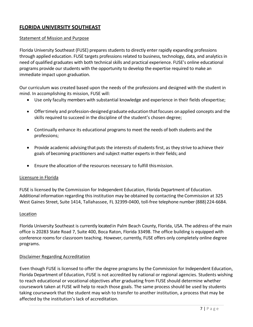# **FLORIDA UNIVERSITY SOUTHEAST**

#### Statement of Mission and Purpose

Florida University Southeast (FUSE) prepares students to directly enter rapidly expanding professions through applied education. FUSE targets professions related to business, technology, data, and analytics in need of qualified graduates with both technical skills and practical experience. FUSE's online educational programs provide our students with the opportunity to develop the expertise required to make an immediate impact upon graduation.

Our curriculum was created based upon the needs of the professions and designed with the student in mind. In accomplishing its mission, FUSE will:

- Use only faculty members with substantial knowledge and experience in their fields ofexpertise;
- Offer timely and profession-designed graduate education that focuses on applied concepts and the skills required to succeed in the discipline of the student's chosen degree;
- Continually enhance its educational programs to meet the needs of both students and the professions;
- Provide academic advising that puts the interests of students first, as they strive to achieve their goals of becoming practitioners and subject matter experts in their fields; and
- Ensure the allocation of the resources necessary to fulfill thismission.

#### Licensure in Florida

FUSE is licensed by the Commission for Independent Education, Florida Department of Education. Additional information regarding this institution may be obtained by contacting the Commission at 325 West Gaines Street, Suite 1414, Tallahassee, FL 32399-0400, toll-free telephone number (888)224-6684.

#### Location

Florida University Southeast is currently located in Palm Beach County, Florida, USA. The address of the main office is 20283 State Road 7, Suite 400, Boca Raton, Florida 33498. The office building is equipped with conference rooms for classroom teaching. However, currently, FUSE offers only completely online degree programs.

#### Disclaimer Regarding Accreditation

Even though FUSE is licensed to offer the degree programs by the Commission for Independent Education, Florida Department of Education, FUSE is not accredited by national or regional agencies. Students wishing to reach educational or vocational objectives after graduating from FUSE should determine whether coursework taken at FUSE will help to reach those goals. The same process should be used by students taking coursework that the student may wish to transfer to another institution, a process that may be affected by the institution's lack of accreditation.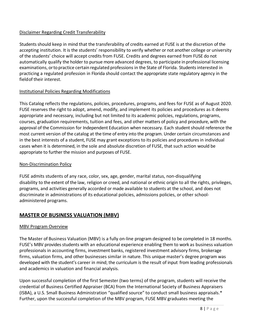# Disclaimer Regarding Credit Transferability

Students should keep in mind that the transferability of credits earned at FUSE is at the discretion of the accepting institution. It is the students' responsibility to verify whether or not another college or university of the students' choice will accept credits from FUSE. Credits and degrees earned from FUSE do not automatically qualify the holder to pursue more advanced degrees, to participate in professional licensing examinations, orto practice certain regulated professions in the State of Florida. Students interested in practicing a regulated profession in Florida should contact the appropriate state regulatory agency in the fieldof their interest.

# Institutional Policies Regarding Modifications

This Catalog reflects the regulations, policies, procedures, programs, and fees for FUSE as of August 2020. FUSE reserves the right to adopt, amend, modify, and implement its policies and procedures as it deems appropriate and necessary, including but not limited to its academic policies, regulations, programs, courses, graduation requirements, tuition and fees, and other matters of policy and procedure, with the approval of the Commission for Independent Education when necessary. Each student should reference the most current version of the catalog at the time of entry into the program. Under certain circumstances and in the best interests of a student, FUSE may grant exceptions to its policies and procedures in individual cases when it is determined, in the sole and absolute discretion of FUSE, that such action would be appropriate to further the mission and purposes of FUSE.

# Non-Discrimination Policy

FUSE admits students of any race, color, sex, age, gender, marital status, non-disqualifying disability to the extent of the law, religion or creed, and national or ethnic origin to all the rights, privileges, programs, and activities generally accorded or made available to students at the school, and does not discriminate in administrations of its educational policies, admissions policies, or other schooladministered programs.

# **MASTER OF BUSINESS VALUATION (MBV)**

# MBV Program Overview

The Master of Business Valuation (MBV) is a fully on-line program designed to be completed in 18 months. FUSE's MBV provides students with an educational experience enabling them to work as business valuation professionals in accounting firms, investment banks, registered investment advisory firms, brokerage firms, valuation firms, and other businesses similar in nature. This unique master's degree program was developed with the student's career in mind; the curriculum is the result of input from leading professionals and academics in valuation and financial analysis.

Upon successful completion of the first Semester (two terms) of the program, students will receive the credential of Business Certified Appraiser (BCA) from the International Society of Business Appraisers (ISBA), a U.S. Small Business Administration "qualified source" to conduct small business appraisals.\* Further, upon the successful completion of the MBV program, FUSE MBV graduates meeting the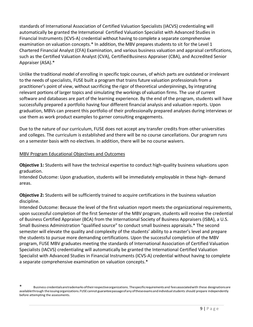standards of International Association of Certified Valuation Specialists (IACVS) credentialing will automatically be granted the International Certified Valuation Specialist with Advanced Studies in Financial Instruments (ICVS-A) credential without having to complete a separate comprehensive examination on valuation concepts.\* In addition, the MBV prepares students to sit for the Level 1 Chartered Financial Analyst (CFA) Examination, and various business valuation and appraisal certifications, such as the Certified Valuation Analyst (CVA), Certified Business Appraiser (CBA), and Accredited Senior Appraiser (ASA).\*

Unlike the traditional model of enrolling in specific topic courses, of which parts are outdated or irrelevant to the needs of specialists, FUSE built a program that trains future valuation professionals from a practitioner's point of view, without sacrificing the rigor of theoretical underpinnings, by integrating relevant portions of larger topics and simulating the workings of valuation firms. The use of current software and databases are part of the learning experience. By the end of the program, students will have successfully prepared a portfolio having four different financial analysis and valuation reports. Upon graduation, MBVs can present this portfolio of their professionally prepared analyses during interviews or use them as work product examples to garner consulting engagements.

Due to the nature of our curriculum, FUSE does not accept any transfer credits from other universities and colleges. The curriculum is established and there will be no course cancellations. Our program runs on a semester basis with no electives. In addition, there will be no course waivers.

#### MBV Program Educational Objectives and Outcomes

**Objective 1:** Students will have the technical expertise to conduct high-quality business valuations upon graduation.

Intended Outcome: Upon graduation, students will be immediately employable in these high- demand areas.

**Objective 2:** Students will be sufficiently trained to acquire certifications in the business valuation discipline.

Intended Outcome: Because the level of the first valuation report meets the organizational requirements, upon successful completion of the first Semester of the MBV program, students will receive the credential of Business Certified Appraiser (BCA) from the International Society of Business Appraisers (ISBA), a U.S. Small Business Administration "qualified source" to conduct small business appraisals.\* The second semester will elevate the quality and complexity of the students' ability to a master's level and prepare the students to pursue more demanding certifications. Upon the successful completion of the MBV program, FUSE MBV graduates meeting the standards of International Association of Certified Valuation Specialists (IACVS) credentialing will automatically be granted the International Certified Valuation Specialist with Advanced Studies in Financial Instruments (ICVS-A) credential without having to complete a separate comprehensive examination on valuation concepts.\*

Business credentials aretrademarks oftheir respective organizations. The specific requirements and fees associated with these designations are availablethrough the issuing organizations. FUSE cannot guarantee passage of any of these exams and individual students should prepare independently before attempting the assessments.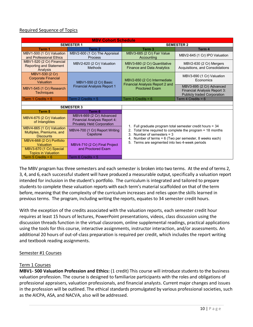# Required Sequence of Topics

| <b>MBV Cohort Schedule</b>                                                                      |                                                                                               |                                                                                                                                                                                                                                                                        |                                                                                                |                           |
|-------------------------------------------------------------------------------------------------|-----------------------------------------------------------------------------------------------|------------------------------------------------------------------------------------------------------------------------------------------------------------------------------------------------------------------------------------------------------------------------|------------------------------------------------------------------------------------------------|---------------------------|
|                                                                                                 | <b>SEMESTER 1</b><br><b>SEMESTER 2</b>                                                        |                                                                                                                                                                                                                                                                        |                                                                                                |                           |
| Term 1                                                                                          | Term 2                                                                                        | Term <sub>3</sub>                                                                                                                                                                                                                                                      | Term 4                                                                                         |                           |
| MBV1-500 (1 Cr) Valuation<br>and Professional Ethics                                            | MBV2-600 (1 Cr) The Appraisal<br>Process                                                      | MBV3-685 (2 Cr) Fair Value<br>Accounting                                                                                                                                                                                                                               | MBV2-645 (1 Cr) IPO Valuation                                                                  |                           |
| MBV1-520 (2 Cr) Financial<br><b>Reporting and Statement</b><br>Analysis                         | MBV2-620 (2 Cr) Valuation<br>Methods                                                          | MBV3-680 (2 Cr) Quantitative<br><b>Finance and Data Analytics</b>                                                                                                                                                                                                      | MBV2-630 (2 Cr) Mergers<br>Acquisitions, and Consolidations                                    |                           |
| MBV1-530 (2 Cr)<br><b>Corporate Financial</b><br>Valuation                                      | MBV1-550 (2 Cr) Basic                                                                         | MBV2-650 (2 Cr) Intermediate<br><b>Financial Analysis Report 2 and</b><br><b>Proctored Exam</b>                                                                                                                                                                        | Economics                                                                                      | MBV3-690 (1 Cr) Valuation |
| MBV1-545 (1 Cr) Research<br><b>Techniques</b>                                                   | <b>Financial Analysis Report 1</b>                                                            |                                                                                                                                                                                                                                                                        | MBV3-695 (2 Cr) Advanced<br>Financial Analysis Report 3:<br><b>Publicly traded Corporation</b> |                           |
| Term 1 Credits = $6$                                                                            | Term 2 Credits = $5$                                                                          | Term 3 Credits = $6$                                                                                                                                                                                                                                                   | Term 4 Credits = $6$                                                                           |                           |
|                                                                                                 |                                                                                               |                                                                                                                                                                                                                                                                        |                                                                                                |                           |
|                                                                                                 | <b>SEMESTER 3</b>                                                                             |                                                                                                                                                                                                                                                                        |                                                                                                |                           |
| Term 5                                                                                          | Term 6                                                                                        |                                                                                                                                                                                                                                                                        |                                                                                                |                           |
| MBV4-675 (2 Cr) Valuation<br>of Intangibles                                                     | MBV4-669 (2 Cr) Advanced<br>Financial Analysis Report 4:<br><b>Privately Held Corporation</b> |                                                                                                                                                                                                                                                                        |                                                                                                |                           |
| MBV4-665 (1 Cr) Valuation<br>Multiples, Premiums, and<br><b>Discounts</b>                       | MBV4-700 (1 Cr) Report Writing<br>Capstone                                                    | 1. Full graduate program total semester credit hours $=$ 34<br>2. Total time required to complete the program = 18 months<br>3. Number of semesters $=$ 3<br>4. Number of terms = 6 (Two per semester, 8 weeks each)<br>5. Terms are segmented into two 4-week periods |                                                                                                |                           |
| MBV4-668 (2 Cr) Portfolio<br>Valuation<br>MBV3-670 (1 Cr) Special<br><b>Topics in Valuation</b> | MBV4-710 (2 Cr) Final Project<br>and Proctored Fxam                                           |                                                                                                                                                                                                                                                                        |                                                                                                |                           |
| Term $5$ Credits = $6$                                                                          | Term 6 Credits = $5$                                                                          |                                                                                                                                                                                                                                                                        |                                                                                                |                           |

The MBV program has three semesters and each semester is broken into two terms. At the end of terms 2, 3, 4, and 6, each successful student will have produced a measurable output, specifically a valuation report intended for inclusion in the student's portfolio. The curriculum is integrated and tailored to prepare students to complete these valuation reports with each term's material scaffolded on that of the term before, meaning that the complexity of the curriculum increases and relies upon the skills learned in previous terms. The program, including writing the reports, equates to 34 semester credit hours.

With the exception of the credits associated with the valuation reports, each semester credit hour requires at least 15 hours of lectures, PowerPoint presentations, videos, class discussion using the discussion threads function in the virtual classroom, online supplemental readings, practical applications using the tools for this course, interactive assignments, instructor interaction, and/or assessments. An additional 20 hours of out-of-class preparation is required per credit, which includes the report writing and textbook reading assignments.

# Semester #1 Courses

#### Term 1 Courses

**MBV1- 500 Valuation Profession and Ethics:** (1 credit) This course will introduce students to the business valuation profession. The course is designed to familiarize participants with the roles and obligations of professional appraisers, valuation professionals, and financial analysts. Current major changes and issues in the profession will be outlined. The ethical standards promulgated by various professional societies, such as the AICPA, ASA, and NACVA, also will be addressed.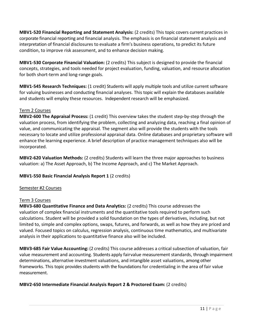**MBV1-520 Financial Reporting and Statement Analysis:** (2 credits) This topic covers current practices in corporate financial reporting and financial analysis. The emphasis is on financial statement analysis and interpretation of financial disclosures to evaluate a firm's business operations, to predict its future condition, to improve risk assessment, and to enhance decision making.

**MBV1-530 Corporate Financial Valuation:** (2 credits) This subject is designed to provide the financial concepts, strategies, and tools needed for project evaluation, funding, valuation, and resource allocation for both short-term and long-range goals.

**MBV1-545 Research Techniques:** (1 credit) Students will apply multiple tools and utilize current software for valuing businesses and conducting financial analyses. This topic will explain the databases available and students will employ these resources. Independent research will be emphasized.

# Term 2 Courses

**MBV2-600 The Appraisal Process:** (1 credit) This overview takes the student step-by-step through the valuation process, from identifying the problem, collecting and analyzing data, reaching a final opinion of value, and communicating the appraisal. The segment also will provide the students with the tools necessary to locate and utilize professional appraisal data. Online databases and proprietary software will enhance the learning experience. A brief description of practice management techniques also will be incorporated.

**MBV2-620 Valuation Methods:** (2 credits) Students will learn the three major approaches to business valuation: a) The Asset Approach, b) The Income Approach, and c) The Market Approach.

# **MBV1-550 Basic Financial Analysis Report 1** (2 credits)

# Semester #2 Courses

#### Term 3 Courses

**MBV3-680 Quantitative Finance and Data Analytics:** (2 credits) This course addresses the valuation of complex financial instruments and the quantitative tools required to perform such calculations. Student will be provided a solid foundation on the types of derivatives, including, but not limited to, simple and complex options, swaps, futures, and forwards, as well as how they are priced and valued. Focused topics on calculus, regression analysis, continuous time mathematics, and multivariate analysis in their applications to quantitative finance also will be included.

**MBV3-685 Fair Value Accounting:** (2 credits) This course addresses a critical subsection of valuation, fair value measurement and accounting. Students apply fairvalue measurement standards, through impairment determinations, alternative investment valuations, and intangible asset valuations, among other frameworks. This topic provides students with the foundations for credentialing in the area of fair value measurement.

# **MBV2-650 Intermediate Financial Analysis Report 2 & Proctored Exam:** (2 credits)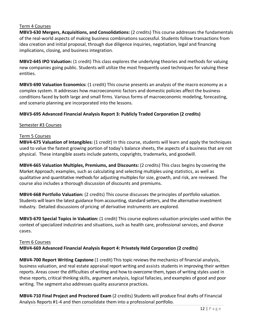#### Term 4 Courses

**MBV3-630 Mergers, Acquisitions, and Consolidations:** (2 credits) This course addresses the fundamentals of the real-world aspects of making business combinations successful. Students follow transactions from idea creation and initial proposal, through due diligence inquiries, negotiation, legal and financing implications, closing, and business integration.

**MBV2-645 IPO Valuation:** (1 credit) This class explores the underlying theories and methods for valuing new companies going public. Students will utilize the most frequently used techniques for valuing these entities.

**MBV3-690 Valuation Economics:** (1 credit) This course presents an analysis of the macro economy as a complex system. It addresses how macroeconomic factors and domestic policies affect the business conditions faced by both large and small firms. Various forms of macroeconomic modeling, forecasting, and scenario planning are incorporated into the lessons.

# **MBV3-695 Advanced Financial Analysis Report 3: Publicly Traded Corporation (2 credits)**

#### Semester #3 Courses

#### Term 5 Courses

**MBV4-675 Valuation of Intangibles:** (1 credit) In this course, students will learn and apply the techniques used to value the fastest growing portion of today's balance sheets, the aspects of a business that are not physical. These intangible assets include patents, copyrights, trademarks, and goodwill.

**MBV4-665 Valuation Multiples, Premiums, and Discounts:** (2 credits) This class begins by covering the Market Approach; examples, such as calculating and selecting multiples using statistics, as well as qualitative and quantitative methods for adjusting multiples for size, growth, and risk, are reviewed. The course also includes a thorough discussion of discounts and premiums.

**MBV4-668 Portfolio Valuation:** (2 credits) This course discusses the principles of portfolio valuation. Students will learn the latest guidance from accounting, standard setters, and the alternative investment industry. Detailed discussions of pricing of derivative instruments are explored.

**MBV3-670 Special Topics in Valuation:** (1 credit) This course explores valuation principles used within the context of specialized industries and situations, such as health care, professional services, and divorce cases.

#### Term 6 Courses

**MBV4-669 Advanced Financial Analysis Report 4: Privately Held Corporation (2 credits)**

**MBV4-700 Report Writing Capstone** (1 credit) This topic reviews the mechanics of financial analysis, business valuation, and real estate appraisal report writing and assists students in improving their written reports. Areas cover the difficulties of writing and how to overcome them, types of writing styles used in these reports, critical thinking skills, argument analysis, logical fallacies, and examples of good and poor writing. The segment also addresses quality assurance practices.

**MBV4-710 Final Project and Proctored Exam** (2 credits) Students will produce final drafts of Financial Analysis Reports #1-4 and then consolidate them into a professional portfolio.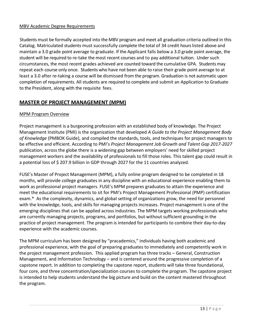#### MBV Academic Degree Requirements

Students must be formally accepted into the MBV program and meet all graduation criteria outlined in this Catalog. Matriculated students must successfully complete the total of 34 credit hours listed above and maintain a 3.0 grade point average to graduate. If the Applicant falls below a 3.0 grade point average, the student will be required to re-take the most recent courses and to pay additional tuition. Under such circumstances, the most recent grades achieved are counted toward the cumulative GPA. Students may repeat each course only once. Students who have not been able to raise their grade point average to at least a 3.0 after re-taking a course will be dismissed from the program. Graduation is not automatic upon completion of requirements. All students are required to complete and submit an Application to Graduate to the President, along with the requisite fees.

# **MASTER OF PROJECT MANAGEMENT (MPM)**

# MPM Program Overview

Project management is a burgeoning profession with an established body of knowledge. The Project Management Institute (PMI) is the organization that developed *A Guide to the Project Management Body of Knowledge* (PMBOK Guide), and compiled the standards, tools, and techniques for project managers to be effective and efficient. According to PMI's *Project Management Job Growth and Talent Gap 2017-2027* publication, across the globe there is a widening gap between employers' need for skilled project management workers and the availability of professionals to fill those roles. This talent gap could result in a potential loss of \$ 207.9 billion in GDP through 2027 for the 11 countries analyzed.

FUSE's Master of Project Management (MPM), a fully online program designed to be completed in 18 months, will provide college graduates in any discipline with an educational experience enabling them to work as professional project managers. FUSE's MPM prepares graduates to attain the experience and meet the educational requirements to sit for PMI's Project Management Professional (PMP) certification exam.\* As the complexity, dynamics, and global setting of organizations grow, the need for personnel with the knowledge, tools, and skills for managing projects increases. Project management is one of the emerging disciplines that can be applied across industries. The MPM targets working professionals who are currently managing projects, programs, and portfolios, but without sufficient grounding in the practice of project management. The program is intended for participants to combine their day-to-day experience with the academic courses.

The MPM curriculum has been designed by "pracademics," individuals having both academic and professional experience, with the goal of preparing graduates to immediately and competently work in the project management profession. This applied program has three tracks – General, Construction Management, and Information Technology – and is centered around the progressive completion of a capstone report. In addition to completing the capstone report, students will take three foundational, four core, and three concentration/specialization courses to complete the program. The capstone project is intended to help students understand the big picture and build on the content mastered throughout the program.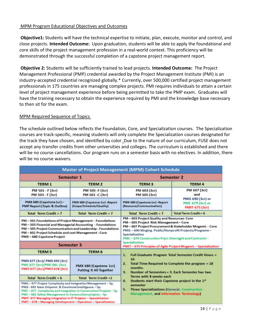#### MPM Program Educational Objectives and Outcomes

**Objective1:** Students will have the technical expertise to initiate, plan, execute, monitor and control, and close projects. **Intended Outcome:** Upon graduation, students will be able to apply the foundational and core skills of the project management profession in a real-world context. This proficiency will be demonstrated through the successful completion of a capstone project management report.

**Objective 2:** Students will be sufficiently trained to lead projects. **Intended Outcome:** The Project Management Professional (PMP) credential awarded by the Project Management Institute (PMI) is an industry-accepted credential recognized globally.\* Currently, over 500,000 certified project management professionals in 175 countries are managing complex projects. PMI requires individuals to attain a certain level of project management experience before being permitted to take the PMP exam. Graduates will have the training necessary to obtain the experience required by PMI and the knowledge base necessary to then sit for the exam.

#### MPM Required Sequence of Topics

The schedule outlined below reflects the Foundation, Core, and Specialization courses. The Specialization courses are track-specific, meaning students will only complete the Specialization courses designated for the track they have chosen, and identified by color. Due to the nature of our curriculum, FUSE does not accept any transfer credits from other universities and colleges. The curriculum is established and there will be no course cancellations. Our program runs on a semester basis with no electives. In addition, there will be no course waivers.

|                                                                                                                                                                                                                                                                                                                                                                                                 | <b>Master of Project Management (MPM) Cohort Schedule</b>  |                                                                                                                                                                                                                                                                                                    |                                                                 |  |
|-------------------------------------------------------------------------------------------------------------------------------------------------------------------------------------------------------------------------------------------------------------------------------------------------------------------------------------------------------------------------------------------------|------------------------------------------------------------|----------------------------------------------------------------------------------------------------------------------------------------------------------------------------------------------------------------------------------------------------------------------------------------------------|-----------------------------------------------------------------|--|
| <b>Semester 1</b>                                                                                                                                                                                                                                                                                                                                                                               |                                                            | <b>Semester 2</b>                                                                                                                                                                                                                                                                                  |                                                                 |  |
| <b>TERM1</b>                                                                                                                                                                                                                                                                                                                                                                                    | <b>TERM 2</b>                                              | TERM <sub>3</sub>                                                                                                                                                                                                                                                                                  | TERM 4                                                          |  |
| PM 501 - F (3cr)<br>PM 503 - F (3cr)                                                                                                                                                                                                                                                                                                                                                            | PM 505 -F (3cr)<br>PM 601 -C (3cr)                         | PM 603 (3cr)<br>and<br>PM 605 (3cr)                                                                                                                                                                                                                                                                | PM 607 (3cr)                                                    |  |
| PMX 680 (Capstone 1cr)-<br><b>PMP Report (Topic &amp; Outline)</b>                                                                                                                                                                                                                                                                                                                              | PMX 680 (Capstone 1cr) -Report<br>(Scope/Schedule/Quality) | PMX 680 (Capstone 1cr) -Report<br>(Resource/Communication)                                                                                                                                                                                                                                         | PMG 690 (3cr) or<br>PMC 679 (3cr) or<br><b>PMIT 675 (3cr)</b>   |  |
| Total Term Credit = $7$                                                                                                                                                                                                                                                                                                                                                                         | Total Term Credit = $7$                                    | Total Term Credit = $7$                                                                                                                                                                                                                                                                            | Total Term Credit = 6                                           |  |
| PM - 501 Foundations of Project Management - Foundations<br>PM-503 Financial and Managerial Accounting - Foundations<br>PM-505 Project Communication and Leadership - Foundations<br>PM-601 Project Schedule and cost Management - Core<br>PMX-680 Capstone Project                                                                                                                             |                                                            | PM-603 Project Quality and Resources-Core<br>PM-605 Project Risk Management-Core<br>PM - 607 Project Procurement & Stakeholder Mngemt. - Core<br>PMG - 690 Mnging. Public/Nonprofit Projects/Programs-<br>Specialization<br>PMC-679 Construction Prict. Oversight and Contracts-<br>Specialization |                                                                 |  |
|                                                                                                                                                                                                                                                                                                                                                                                                 | <b>Semester 3</b>                                          |                                                                                                                                                                                                                                                                                                    | PMIT - 675 Principles of Agile Project Mngemt. - Specialization |  |
| <b>TERM 5</b>                                                                                                                                                                                                                                                                                                                                                                                   | <b>TERM 6</b>                                              | <b>Full Graduate Program Total Semester Credit Hours =</b><br>1.<br>34<br>Total Time Required to Complete the program = 18<br>2.<br>months.<br>Number of Semesters = 3. Each Semester has two<br>3.<br>Terms with 8 weeks each                                                                     |                                                                 |  |
| PMG 677 (3cr)/ PMG 692 (3cr)<br>PMC 677 (3cr)/PMC 681 (3cr)<br>PMIT 677 (3cr)/PMIT 678 (3cr)                                                                                                                                                                                                                                                                                                    | PMX 680 (Capstone 1cr)<br><b>Putting It All Together</b>   |                                                                                                                                                                                                                                                                                                    |                                                                 |  |
| Total Term Credit = $6$                                                                                                                                                                                                                                                                                                                                                                         | Total Term Credit =1                                       |                                                                                                                                                                                                                                                                                                    |                                                                 |  |
| PMG - 677 Project Complexity and Integration Management - Sp.<br>PMG - 692 Team Dvlpmnt. & Emotional Intelligence - Sp.<br>PMC-677 Complexity and Integration in Construction Projects - Sp.<br>PMC - 681 Safety Management in Construction projects - Sp.<br>PMIT- 677 Managing Integration in IT Projects -- Specialization<br>PMIT - 678 - Managing Development - Operation - Specialization |                                                            | Students start their Capstone project in the 1st<br>4.<br>semester<br>5.<br><b>Three Specializations (General, Construction</b><br>Management, and Information Technology)                                                                                                                         |                                                                 |  |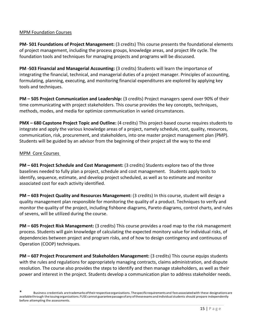# MPM Foundation Courses

**PM- 501 Foundations of Project Management:** (3 credits) This course presents the foundational elements of project management, including the process groups, knowledge areas, and project life cycle. The foundation tools and techniques for managing projects and programs will be discussed.

**PM -503 Financial and Managerial Accounting:** (3 credits) Students will learn the importance of integrating the financial, technical, and managerial duties of a project manager. Principles of accounting, formulating, planning, executing, and monitoring financial expenditures are explored by applying key tools and techniques.

**PM – 505 Project Communication and Leadership:** (3 credits) Project managers spend over 90% of their time communicating with project stakeholders. This course provides the key concepts, techniques, methods, modes, and media for optimize communication in varied circumstances.

**PMX – 680 Capstone Project Topic and Outline:** (4 credits) This project-based course requires students to integrate and apply the various knowledge areas of a project, namely schedule, cost, quality, resources, communication, risk, procurement, and stakeholders, into one master project management plan (PMP). Students will be guided by an advisor from the beginning of their project all the way to the end

# MPM Core Courses

**PM – 601 Project Schedule and Cost Management:** (3 credits) Students explore two of the three baselines needed to fully plan a project, schedule and cost management. Students apply tools to identify, sequence, estimate, and develop project scheduled, as well as to estimate and monitor associated cost for each activity identified.

**PM – 603 Project Quality and Resources Management:** (3 credits) In this course, student will design a quality management plan responsible for monitoring the quality of a product. Techniques to verify and monitor the quality of the project, including fishbone diagrams, Pareto diagrams, control charts, and rules of sevens, will be utilized during the course.

**PM – 605 Project Risk Management:** (3 credits) This course provides a road map to the risk management process. Students will gain knowledge of calculating the expected monitory value for individual risks, of dependencies between project and program risks, and of how to design contingency and continuous of Operation (COOP) techniques.

**PM – 607 Project Procurement and Stakeholders Management:** (3 credits) This course equips students with the rules and regulations for appropriately managing contracts, claims administration, and dispute resolution. The course also provides the steps to identify and then manage stakeholders, as well as their power and interest in the project. Students develop a communication plan to address stakeholder needs.

<sup>\*</sup> Business credentials aretrademarksoftheirrespectiveorganizations. Thespecificrequirements and feesassociatedwith these designationsare availablethrough the issuing organizations. FUSE cannot guarantee passage of any of these exams and individual students should prepare independently before attempting the assessments.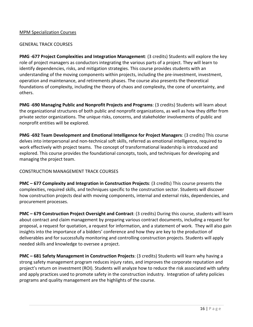#### MPM Specialization Courses

#### GENERAL TRACK COURSES

**PMG -677 Project Complexities and Integration Management**: (3 credits) Students will explore the key role of project managers as conductors integrating the various parts of a project. They will learn to identify dependencies, risks, and mitigation strategies. This course provides students with an understanding of the moving components within projects, including the pre-investment, investment, operation and maintenance, and retirements phases. The course also presents the theoretical foundations of complexity, including the theory of chaos and complexity, the cone of uncertainty, and others.

**PMG -690 Managing Public and Nonprofit Projects and Programs**: (3 credits) Students will learn about the organizational structures of both public and nonprofit organizations, as well as how they differ from private sector organizations. The unique risks, concerns, and stakeholder involvements of public and nonprofit entities will be explored.

**PMG -692 Team Development and Emotional Intelligence for Project Managers**: (3 credits) This course delves into interpersonal and non-technical soft skills, referred as emotional intelligence, required to work effectively with project teams. The concept of transformational leadership is introduced and explored. This course provides the foundational concepts, tools, and techniques for developing and managing the project team.

# CONSTRUCTION MANAGEMENT TRACK COURSES

**PMC – 677 Complexity and Integration in Construction Projects**: (3 credits) This course presents the complexities, required skills, and techniques specific to the construction sector. Students will discover how construction projects deal with moving components, internal and external risks, dependencies, and procurement processes.

**PMC – 679 Construction Project Oversight and Contract**: (3 credits) During this course, students will learn about contract and claim management by preparing various contract documents, including a request for proposal, a request for quotation, a request for information, and a statement of work. They will also gain insights into the importance of a bidders' conference and how they are key to the production of deliverables and for successfully monitoring and controlling construction projects. Students will apply needed skills and knowledge to oversee a project.

**PMC – 681 Safety Management in Construction Projects**: (3 credits) Students will learn why having a strong safety management program reduces injury rates, and improves the corporate reputation and project's return on investment (ROI). Students will analyze how to reduce the risk associated with safety and apply practices used to promote safety in the construction industry. Integration of safety policies programs and quality management are the highlights of the course.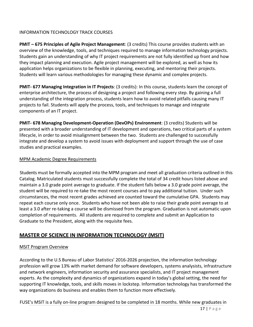# INFORMATION TECHNOLOGY TRACK COURSES

**PMIT – 675 Principles of Agile Project Management**: (3 credits) This course provides students with an overview of the knowledge, tools, and techniques required to manage information technology projects. Students gain an understanding of why IT project requirements are not fully identified up front and how they impact planning and execution. Agile project management will be explored, as well as how its application helps organizations to be flexible in planning, executing, and mentoring their projects. Students will learn various methodologies for managing these dynamic and complex projects.

**PMIT- 677 Managing Integration in IT Projects**: (3 credits): In this course, students learn the concept of enterprise architecture, the process of designing a project and following every step. By gaining a full understanding of the integration process, students learn how to avoid related pitfalls causing many IT projects to fail. Students will apply the process, tools, and techniques to manage and integrate components of an IT project.

**PMIT- 678 Managing Development-Operation (DevOPs) Environment**: (3 credits) Students will be presented with a broader understanding of IT development and operations, two critical parts of a system lifecycle, in order to avoid misalignment between the two. Students are challenged to successfully integrate and develop a system to avoid issues with deployment and support through the use of case studies and practical examples.

#### MPM Academic Degree Requirements

Students must be formally accepted into the MPM program and meet all graduation criteria outlined in this Catalog. Matriculated students must successfully complete the total of 34 credit hours listed above and maintain a 3.0 grade point average to graduate. If the student falls below a 3.0 grade point average, the student will be required to re-take the most recent courses and to pay additional tuition. Under such circumstances, the most recent grades achieved are counted toward the cumulative GPA. Students may repeat each course only once. Students who have not been able to raise their grade point average to at least a 3.0 after re-taking a course will be dismissed from the program. Graduation is not automatic upon completion of requirements. All students are required to complete and submit an Application to Graduate to the President, along with the requisite fees.

# **MASTER OF SCIENCE IN INFORMATION TECHNOLOGY (MSIT)**

# MSIT Program Overview

According to the U.S Bureau of Labor Statistics' 2016-2026 projection, the information technology profession will grow 13% with market demand for software developers, systems analysists, infrastructure and network engineers, information security and assurance specialists, and IT project management experts. As the complexity and dynamics of organizations expand in today's global setting, the need for supporting IT knowledge, tools, and skills moves in lockstep. Information technology has transformed the way organizations do business and enables them to function more effectively.

FUSE's MSIT is a fully on-line program designed to be completed in 18 months. While new graduates in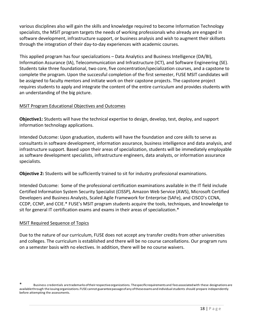various disciplines also will gain the skills and knowledge required to become Information Technology specialists, the MSIT program targets the needs of working professionals who already are engaged in software development, infrastructure support, or business analysis and wish to augment their skillsets through the integration of their day-to-day experiences with academic courses.

This applied program has four specializations – Data Analytics and Business Intelligence (DA/BI), Information Assurance (IA), Telecommunication and Infrastructure (ICT), and Software Engineering (SE). Students take three foundational, two core, five concentration/specialization courses, and a capstone to complete the program. Upon the successful completion of the first semester, FUSE MSIT candidates will be assigned to faculty mentors and initiate work on their capstone projects. The capstone project requires students to apply and integrate the content of the entire curriculum and provides students with an understanding of the big picture.

# MSIT Program Educational Objectives and Outcomes

**Objective1:** Students will have the technical expertise to design, develop, test, deploy, and support information technology applications.

Intended Outcome: Upon graduation, students will have the foundation and core skills to serve as consultants in software development, information assurance, business intelligence and data analysis, and infrastructure support. Based upon their areas of specialization, students will be immediately employable as software development specialists, infrastructure engineers, data analysts, or information assurance specialists.

**Objective 2:** Students will be sufficiently trained to sit for industry professional examinations.

Intended Outcome: Some of the professional certification examinations available in the IT field include Certified Information System Security Specialist (CISSP), Amazon Web Service (AWS), Microsoft Certified Developers and Business Analysts, Scaled Agile Framework for Enterprise (SAFe), and CISCO's CCNA, CCDP, CCNP, and CCIE.\* FUSE's MSIT program students acquire the tools, techniques, and knowledge to sit for general IT certification exams and exams in their areas of specialization.\*

#### MSIT Required Sequence of Topics

Due to the nature of our curriculum, FUSE does not accept any transfer credits from other universities and colleges. The curriculum is established and there will be no course cancellations. Our program runs on a semester basis with no electives. In addition, there will be no course waivers.

Business credentials aretrademarks of their respective organizations. The specific requirements and fees associated with these designations are availablethrough the issuing organizations. FUSE cannot guarantee passage of any of these exams and individual students should prepare independently before attempting the assessments.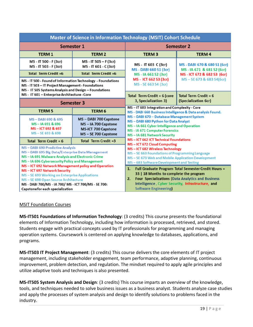| <b>Master of Science in Information Technology (MSIT) Cohort Schedule</b>                                                                                                                                                                                                                                                                                                                                                                                    |                                                                                                |                                                                                                                                                                                                                                                                                                                                                                                                                                                      |                                                                                       |
|--------------------------------------------------------------------------------------------------------------------------------------------------------------------------------------------------------------------------------------------------------------------------------------------------------------------------------------------------------------------------------------------------------------------------------------------------------------|------------------------------------------------------------------------------------------------|------------------------------------------------------------------------------------------------------------------------------------------------------------------------------------------------------------------------------------------------------------------------------------------------------------------------------------------------------------------------------------------------------------------------------------------------------|---------------------------------------------------------------------------------------|
| <b>Semester 1</b>                                                                                                                                                                                                                                                                                                                                                                                                                                            |                                                                                                | <b>Semester 2</b>                                                                                                                                                                                                                                                                                                                                                                                                                                    |                                                                                       |
| <b>TERM 1</b>                                                                                                                                                                                                                                                                                                                                                                                                                                                | <b>TERM 2</b>                                                                                  | <b>TERM3</b>                                                                                                                                                                                                                                                                                                                                                                                                                                         | <b>TERM4</b>                                                                          |
| MS - IT 500 - F (3cr)<br>MS - IT 503 - F (3cr)                                                                                                                                                                                                                                                                                                                                                                                                               | MS - IT 505 - F (3cr)<br>MS - IT 601 - C (3cr)                                                 | MS - IT 603 C (3cr)<br>MS - DABI 660 S1 (3cr)<br>MS - IA 661 S2 (3cr)                                                                                                                                                                                                                                                                                                                                                                                | MS - DABI 670 & 680 S1 (6cr)<br>MS-IA 671 & 681 S2 (6cr)<br>MS-ICT 672 & 682 S3 (6cr) |
| Total Term Credit =6                                                                                                                                                                                                                                                                                                                                                                                                                                         | Total Term Credit =6                                                                           |                                                                                                                                                                                                                                                                                                                                                                                                                                                      |                                                                                       |
| MS - IT 500 - Found of Information Technology - Foundations<br>MS - IT 503 - IT Project Management - Foundations<br>MS - IT 505 Systems Analysis and Design - Foundations                                                                                                                                                                                                                                                                                    |                                                                                                | MS - ICT 662 S3 (3cr)<br>MS - SE 663 S4 (3cr)                                                                                                                                                                                                                                                                                                                                                                                                        | MS-SE 673 & 683 S4(6cr)                                                               |
| MS - IT 601 - Enterprise Architecture - Core                                                                                                                                                                                                                                                                                                                                                                                                                 |                                                                                                | Total Term Credit = $6$ (core                                                                                                                                                                                                                                                                                                                                                                                                                        | Total Term Credit = $6$                                                               |
|                                                                                                                                                                                                                                                                                                                                                                                                                                                              | <b>Semester 3</b>                                                                              | 3, Specialization 3)<br>(Specialization 6cr)                                                                                                                                                                                                                                                                                                                                                                                                         |                                                                                       |
| <b>TERM 5</b>                                                                                                                                                                                                                                                                                                                                                                                                                                                | <b>TERM 6</b>                                                                                  | MS-IT 603 Integration and Complexity - Core<br>MS - DABI 660 Business Intelligence & Data analysis Found.<br>MS-DABI 670-Database Management System<br>MS-DABI 680 Python for Data Analyst<br>MS-IA 661 Cyber Intelligence and Operation<br><b>MS - IA 671 Computer Forensics</b><br>MS-IA 681 Network Security<br>MS-ICT 662 ICT Technical Foundations<br>MS-ICT 672 Cloud Computing                                                                |                                                                                       |
| MS-DABI 690 & 695<br>MS-1A 691 & 696<br>MS-ICT 692 & 697<br>MS-SE 693 & 698                                                                                                                                                                                                                                                                                                                                                                                  | MS-DABI 700 Capstone<br>MS-IA 700 Capstone<br><b>MS-ICT 700 Capstone</b><br>MS-SE 700 Capstone |                                                                                                                                                                                                                                                                                                                                                                                                                                                      |                                                                                       |
| Total Term Credit = $6$                                                                                                                                                                                                                                                                                                                                                                                                                                      | Total Term Credit =3                                                                           |                                                                                                                                                                                                                                                                                                                                                                                                                                                      |                                                                                       |
| MS-DABI 690 Predictive Analysis<br>MS-DABI 695 Big Data/Enterprise Data Management<br>MS-IA 691 Malware Analysis and Electronic Crime<br>MS-IA 696 Cybersecurity Policy and Management<br>MS-ICT 692 Network Management policy and Operation<br>MS-ICT 697 Network Security<br>MS-SE 693 Working on Enterprise Applications<br>MS-SE 698 Open Source Architecture<br>MS - DABI 700/MS - IA 700/MS - ICT 700/MS - SE 700:<br>Capstone for each specialization |                                                                                                | MS-ICT 682 Wireless Technology<br>MS-SE 663 Foundations of Programming Language<br>MS-SE 673 Web and Mobile Application Development<br>MS-683 Software Development and Testing<br><b>Full Graduate Program Total Semester Credit Hours =</b><br>1.<br>33   18 Months to complete the program<br><b>Four Specializations (Data Analytics and Business</b><br>2.<br>Intelligence, Cyber Security, Infrastructure, and<br><b>Software Engineering</b> ) |                                                                                       |

#### MSIT Foundation Courses

**MS-IT501 Foundations of Information Technology**: (3 credits) This course presents the foundational elements of Information Technology, including how information is processed, retrieved, and stored. Students engage with practical concepts used by IT professionals for programming and managing operation systems. Coursework is centered on applying knowledge to databases, applications, and programs.

**MS-IT503 IT Project Management**: (3 credits) This course delivers the core elements of IT project management, including stakeholder engagement, team performance, adaptive planning, continuous improvement, problem detection, and regulation. The mindset required to apply agile principles and utilize adaptive tools and techniques is also presented.

**MS-IT505 System Analysis and Design**: (3 credits) This course imparts an overview of the knowledge, tools, and techniques needed to solve business issues as a business analyst. Students analyze case studies and apply the processes of system analysis and design to identify solutions to problems faced in the industry.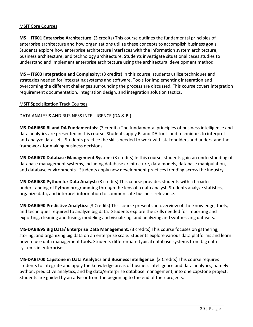#### MSIT Core Courses

**MS – IT601 Enterprise Architecture**: (3 credits) This course outlines the fundamental principles of enterprise architecture and how organizations utilize these concepts to accomplish business goals. Students explore how enterprise architecture interfaces with the information system architecture, business architecture, and technology architecture. Students investigate situational cases studies to understand and implement enterprise architecture using the architectural development method.

**MS – IT603 Integration and Complexity**: (3 credits) In this course, students utilize techniques and strategies needed for integrating systems and software. Tools for implementing integration and overcoming the different challenges surrounding the process are discussed. This course covers integration requirement documentation, integration design, and integration solution tactics.

#### MSIT Specialization Track Courses

DATA ANALYSIS AND BUSINESS INTELLIGENCE (DA & BI)

**MS-DABI660 BI and DA Fundamentals**: (3 credits) The fundamental principles of business intelligence and data analytics are presented in this course. Students apply BI and DA tools and techniques to interpret and analyze data sets. Students practice the skills needed to work with stakeholders and understand the framework for making business decisions.

**MS-DABI670 Database Management System**: (3 credits) In this course, students gain an understanding of database management systems, including database architecture, data models, database manipulation, and database environments. Students apply new development practices trending across the industry.

**MS-DABI680 Python for Data Analyst**: (3 credits) This course provides students with a broader understanding of Python programming through the lens of a data analyst. Students analyze statistics, organize data, and interpret information to communicate business relevance.

**MS-DABI690 Predictive Analytics**: (3 Credits) This course presents an overview of the knowledge, tools, and techniques required to analyze big data. Students explore the skills needed for importing and exporting, cleaning and fusing, modeling and visualizing, and analyzing and synthesizing datasets.

**MS-DABI695 Big Data/ Enterprise Data Management**: (3 credits) This course focuses on gathering, storing, and organizing big data on an enterprise scale. Students explore various data platforms and learn how to use data management tools. Students differentiate typical database systems from big data systems in enterprises.

**MS-DABI700 Capstone in Data Analytics and Business Intelligence**: (3 Credits) This course requires students to integrate and apply the knowledge areas of business intelligence and data analytics, namely python, predictive analytics, and big data/enterprise database management, into one capstone project. Students are guided by an advisor from the beginning to the end of their projects.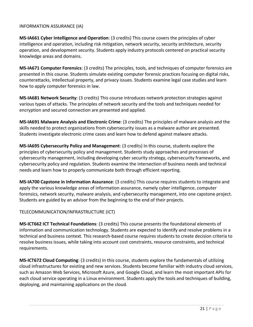#### INFORMATION ASSURANCE (IA)

**MS-IA661 Cyber Intelligence and Operation**: (3 credits) This course covers the principles of cyber intelligence and operation, including risk mitigation, network security, security architecture, security operation, and development security. Students apply industry protocols centered on practical security knowledge areas and domains.

**MS-IA671 Computer Forensics**: (3 credits) The principles, tools, and techniques of computer forensics are presented in this course. Students simulate existing computer forensic practices focusing on digital risks, counterattacks, intellectual property, and privacy issues. Students examine legal case studies and learn how to apply computer forensics in law.

**MS-IA681 Network Security**: (3 credits) This course introduces network protection strategies against various types of attacks. The principles of network security and the tools and techniques needed for encryption and secured connection are presented and applied.

**MS-IA691 Malware Analysis and Electronic Crime**: (3 credits) The principles of malware analysis and the skills needed to protect organizations from cybersecurity issues as a malware author are presented. Students investigate electronic crime cases and learn how to defend against malware attacks.

**MS-IA695 Cybersecurity Policy and Management**: (3 credits) In this course, students explore the principles of cybersecurity policy and management. Students study approaches and processes of cybersecurity management, including developing cyber security strategy, cybersecurity frameworks, and cybersecurity policy and regulation. Students examine the intersection of business needs and technical needs and learn how to properly communicate both through efficient reporting.

**MS-IA700 Capstone in Information Assurance**: (3 credits) This course requires students to integrate and apply the various knowledge areas of information assurance, namely cyber intelligence, computer forensics, network security, malware analysis, and cybersecurity management, into one capstone project. Students are guided by an advisor from the beginning to the end of their projects.

# TELECOMMUNICATION/INFRASTRUCTURE (ICT)

**MS-ICT662 ICT Technical Foundations**: (3 credits) This course presents the foundational elements of information and communication technology. Students are expected to identify and resolve problems in a technical and business context. This research-based course requires students to create decision criteria to resolve business issues, while taking into account cost constraints, resource constraints, and technical requirements.

**MS-ICT672 Cloud Computing**: (3 credits) In this course, students explore the fundamentals of utilizing cloud infrastructures for existing and new services. Students become familiar with industry cloud services, such as Amazon Web Services, Microsoft Azure, and Google Cloud, and learn the most important APIs for each cloud service operating in a Linux environment. Students apply the tools and techniques of building, deploying, and maintaining applications on the cloud.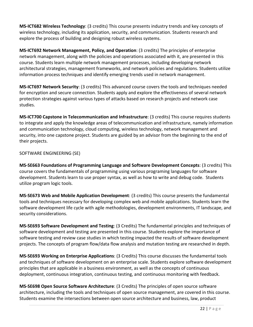**MS-ICT682 Wireless Technology**: (3 credits) This course presents industry trends and key concepts of wireless technology, including its application, security, and communication. Students research and explore the process of building and designing robust wireless systems.

**MS-ICT692 Network Management, Policy, and Operation**: (3 credits) The principles of enterprise network management, along with the policies and operations associated with it, are presented in this course. Students learn multiple network management processes, including developing network architectural strategies, management frameworks, and network policies and regulations. Students utilize information process techniques and identify emerging trends used in network management.

**MS-ICT697 Network Security**: (3 credits) This advanced course covers the tools and techniques needed for encryption and secure connection. Students apply and explore the effectiveness of several network protection strategies against various types of attacks based on research projects and network case studies.

**MS-ICT700 Capstone in Telecommunication and Infrastructure**: (3 credits) This course requires students to integrate and apply the knowledge areas of telecommunication and infrastructure, namely information and communication technology, cloud computing, wireless technology, network management and security, into one capstone project. Students are guided by an advisor from the beginning to the end of their projects.

SOFTWARE ENGINEERING (SE)

**MS-SE663 Foundations of Programming Language and Software Development Concepts**: (3 credits) This course covers the fundamentals of programming using various programing languages for software development. Students learn to use proper syntax, as well as how to write and debug code. Students utilize program logic tools.

**MS-SE673 Web and Mobile Application Development**: (3 credits) This course presents the fundamental tools and techniques necessary for developing complex web and mobile applications. Students learn the software development life cycle with agile methodologies, development environments, IT landscape, and security considerations.

**MS-SE693 Software Development and Testing**: (3 Credits) The fundamental principles and techniques of software development and testing are presented in this course. Students explore the importance of software testing and review case studies in which testing impacted the results of software development projects. The concepts of program flow/data flow analysis and mutation testing are researched in depth.

**MS-SE693 Working on Enterprise Applications**: (3 Credits) This course discusses the fundamental tools and techniques of software development on an enterprise scale. Students explore software development principles that are applicable in a business environment, as well as the concepts of continuous deployment, continuous integration, continuous testing, and continuous monitoring with feedback.

**MS-SE698 Open Source Software Architecture**: (3 Credits) The principles of open source software architecture, including the tools and techniques of open source management, are covered in this course. Students examine the intersections between open source architecture and business, law, product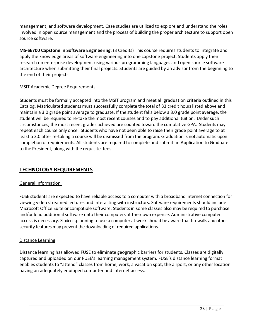management, and software development. Case studies are utilized to explore and understand the roles involved in open source management and the process of building the proper architecture to support open source software.

**MS-SE700 Capstone in Software Engineering**: (3 Credits) This course requires students to integrate and apply the knowledge areas of software engineering into one capstone project. Students apply their research on enterprise development using various programming languages and open source software architecture when submitting their final projects. Students are guided by an advisor from the beginning to the end of their projects.

# MSIT Academic Degree Requirements

Students must be formally accepted into the MSIT program and meet all graduation criteria outlined in this Catalog. Matriculated students must successfully complete the total of 33 credit hours listed above and maintain a 3.0 grade point average to graduate. If the student falls below a 3.0 grade point average, the student will be required to re-take the most recent courses and to pay additional tuition. Under such circumstances, the most recent grades achieved are counted toward the cumulative GPA. Students may repeat each course only once. Students who have not been able to raise their grade point average to at least a 3.0 after re-taking a course will be dismissed from the program. Graduation is not automatic upon completion of requirements. All students are required to complete and submit an Application to Graduate to the President, along with the requisite fees.

# **TECHNOLOGY REQUIREMENTS**

# General Information

FUSE students are expected to have reliable access to a computer with a broadband internet connection for viewing video streamed lectures and interacting with instructors. Software requirements should include Microsoft Office Suite or compatible software. Students in some classes also may be required to purchase and/or load additional software onto their computers at their own expense. Administrative computer access is necessary. Students planning to use a computer at work should be aware that firewalls and other security features may prevent the downloading of required applications.

#### Distance Learning

Distance learning has allowed FUSE to eliminate geographic barriers for students. Classes are digitally captured and uploaded on our FUSE's learning management system. FUSE's distance learning format enables students to "attend" classes from home, work, a vacation spot, the airport, or any other location having an adequately equipped computer and internet access.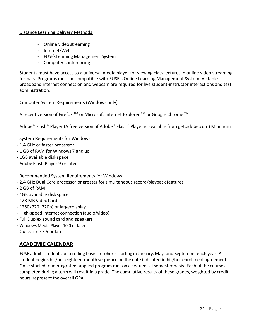#### Distance Learning Delivery Methods

- Online video streaming
- Internet/Web
- FUSE's Learning Management System
- Computer conferencing

Students must have access to a universal media player for viewing class lectures in online video streaming formats. Programs must be compatible with FUSE's Online Learning Management System. A stable broadband internet connection and webcam are required for live student-instructor interactions and test administration.

#### Computer System Requirements (Windows only)

A recent version of Firefox ™ or Microsoft Internet Explorer ™ or Google Chrome ™

Adobe® Flash® Player (A free version of Adobe® Flash® Player is available from get.adobe.com) Minimum

System Requirements for Windows

- 1.4 GHz or faster processor
- 1 GB of RAM for Windows 7 and up
- 1GB available diskspace
- Adobe Flash Player 9 or later

Recommended System Requirements for Windows

- 2.4 GHz Dual Core processor or greater for simultaneous record/playback features
- 2 GB of RAM
- 4GB available diskspace
- 128 MB VideoCard
- 1280x720 (720p) or largerdisplay
- High-speed Internet connection (audio/video)
- Full Duplex sound card and speakers
- Windows Media Player 10.0 or later
- QuickTime 7.5 or later

# **ACADEMIC CALENDAR**

FUSE admits students on a rolling basis in cohorts starting in January, May, and September each year. A student begins his/her eighteen-month sequence on the date indicated in his/her enrollment agreement. Once started, our integrated, applied program runs on a sequential semester basis. Each of the courses completed during a term will result in a grade. The cumulative results of these grades, weighted by credit hours, represent the overall GPA.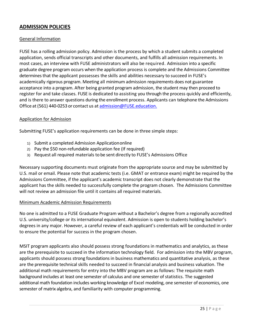# **ADMISSION POLICIES**

#### General Information

FUSE has a rolling admission policy. Admission is the process by which a student submits a completed application, sends official transcripts and other documents, and fulfills all admission requirements. In most cases, an interview with FUSE administrators will also be required. Admission into a specific graduate degree program occurs when the application process is complete and the Admissions Committee determines that the applicant possesses the skills and abilities necessary to succeed in FUSE's academically rigorous program. Meeting all minimum admission requirements does not guarantee acceptance into a program. After being granted program admission, the student may then proceed to register for and take classes. FUSE is dedicated to assisting you through the process quickly and efficiently, and is there to answer questions during the enrollment process. Applicants can telephone the Admissions Office at (561) 440-0253 or contact us at admission@FUSE.education.

#### Application for Admission

Submitting FUSE's application requirements can be done in three simple steps:

- 1) Submit a completed Admission Applicationonline
- 2) Pay the \$50 non-refundable application fee (If required)
- 3) Request all required materials to be sent directly to FUSE's Admissions Office

Necessary supporting documents must originate from the appropriate source and may be submitted by U.S. mail or email. Please note that academic tests (i.e. GMAT or entrance exam) might be required by the Admissions Committee, if the applicant's academic transcript does not clearly demonstrate that the applicant has the skills needed to successfully complete the program chosen. The Admissions Committee will not review an admission file until it contains all required materials.

#### Minimum Academic Admission Requirements

No one is admitted to a FUSE Graduate Program without a Bachelor's degree from a regionally accredited U.S. university/college or its international equivalent. Admission is open to students holding bachelor's degrees in any major. However, a careful review of each applicant's credentials will be conducted in order to ensure the potential for success in the program chosen.

MSIT program applicants also should possess strong foundations in mathematics and analytics, as these are the prerequisite to succeed in the information technology field. For admission into the MBV program, applicants should possess strong foundations in business mathematics and quantitative analysis, as these are the prerequisite technical skills needed to succeed in financial analysis and business valuation. The additional math requirements for entry into the MBV program are as follows: The requisite math background includes at least one semester of calculus and one semester of statistics. The suggested additional math foundation includes working knowledge of Excel modeling, one semester of economics, one semester of matrix algebra, and familiarity with computer programming.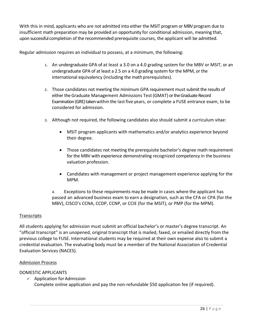With this in mind, applicants who are not admitted into either the MSIT program or MBV program due to insufficient math preparation may be provided an opportunity for conditional admission, meaning that, upon successful completion of the recommended prerequisite courses, the applicant will be admitted.

Regular admission requires an individual to possess, at a minimum, the following:

- 1. An undergraduate GPA of at least a 3.0 on a 4.0 grading system for the MBV or MSIT, or an undergraduate GPA of at least a 2.5 on a 4.0 grading system for the MPM, or the international equivalency (including the math prerequisites).
- 2. Those candidates not meeting the minimum GPA requirement must submit the results of either the Graduate Management Admissions Test(GMAT) or the Graduate Record Examination (GRE) taken within the last five years, or complete a FUSE entrance exam, to be considered for admission.
- 3. Although not required, the following candidates also should submit a curriculum vitae:
	- MSIT program applicants with mathematics and/or analytics experience beyond their degree.
	- Those candidates not meeting the prerequisite bachelor's degree math requirement for the MBV with experience demonstrating recognized competency in the business valuation profession.
	- Candidates with management or project management experience applying for the MPM.

4. Exceptions to these requirements may be made in cases where the applicant has passed an advanced business exam to earn a designation, such as the CFA or CPA (for the MBV), CISCO's CCNA, CCDP, CCNP, or CCIE (for the MSIT), or PMP (for the MPM).

# **Transcripts**

All students applying for admission must submit an official bachelor's or master's degree transcript. An "official transcript" is an unopened, original transcript that is mailed, faxed, or emailed directly from the previous college to FUSE. International students may be required at their own expense also to submit a credential evaluation. The evaluating body must be a member of the National Association of Credential Evaluation Services (NACES).

#### Admission Process

# DOMESTIC APPLICANTS

 $\checkmark$  Application for Admission Complete online application and pay the non-refundable \$50 application fee (if required).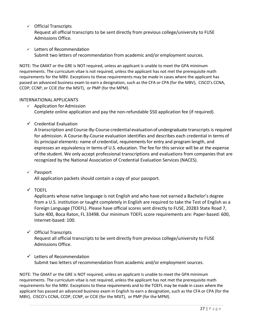$\checkmark$  Official Transcripts

Request all official transcripts to be sent directly from previous college/university to FUSE Admissions Office.

 $\checkmark$  Letters of Recommendation Submit two letters of recommendation from academic and/or employment sources.

NOTE: The GMAT or the GRE is NOT required, unless an applicant is unable to meet the GPA minimum requirements. The curriculum vitae is not required, unless the applicant has not met the prerequisite math requirements for the MBV. Exceptions to these requirements may be made in cases where the applicant has passed an advanced business exam to earn a designation, such as the CFA or CPA (for the MBV), CISCO's CCNA, CCDP, CCNP, or CCIE (for the MSIT), or PMP (for the MPM).

# INTERNATIONAL APPLICANTS

- $\checkmark$  Application for Admission Complete online application and pay the non-refundable \$50 application fee (if required).
- $\checkmark$  Credential Evaluation

A transcription and Course-By-Course credential evaluationof undergraduate transcripts is required for admission. A Course-By-Course evaluation identifies and describes each credential in terms of its principal elements: name of credential, requirements for entry and program length, and expresses an equivalency in terms of U.S. education. The fee for this service will be at the expense of the student. We only accept professional transcriptions and evaluations from companies that are recognized by the National Association of Credential Evaluation Services (NACES).

# $\checkmark$  Passport

All application packets should contain a copy of your passport.

 $\times$  TOEFL

Applicants whose native language is not English and who have not earned a Bachelor's degree from a U.S. institution or taught completely in English are required to take the Test of English as a Foreign Language (TOEFL). Please have official scores sent directly to FUSE, 20283 State Road 7, Suite 400, Boca Raton, FL 33498. Our minimum TOEFL score requirements are: Paper-based: 600, Internet-based: 100.

# $\checkmark$  Official Transcripts

Request all official transcripts to be sent directly from previous college/university to FUSE Admissions Office.

 $\checkmark$  Letters of Recommendation Submit two letters of recommendation from academic and/or employment sources.

NOTE: The GMAT or the GRE is NOT required, unless an applicant is unable to meet the GPA minimum requirements. The curriculum vitae is not required, unless the applicant has not met the prerequisite math requirements for the MBV. Exceptions to these requirements and to the TOEFL may be made in cases where the applicant has passed an advanced business exam in English to earn a designation, such as the CFA or CPA (for the MBV), CISCO's CCNA, CCDP, CCNP, or CCIE (for the MSIT), or PMP (for the MPM).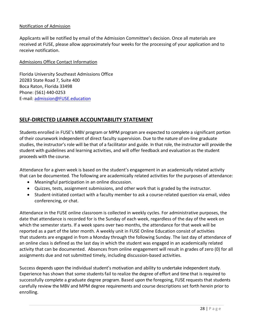### Notification of Admission

Applicants will be notified by email of the Admission Committee's decision. Once all materials are received at FUSE, please allow approximately four weeks for the processing of your application and to receive notification.

#### Admissions Office Contact Information

Florida University Southeast Admissions Office 20283 State Road 7, Suite 400 Boca Raton, Florida 33498 Phone: (561) 440-0253 E-mail: admission@FUSE.education

# **SELF-DIRECTED LEARNER ACCOUNTABILITY STATEMENT**

Students enrolled in FUSE's MBV program or MPM program are expected to complete a significant portion of their coursework independent of direct faculty supervision. Due to the nature of on-line graduate studies, the instructor's role will be that of a facilitator and guide. In that role, the instructor will provide the student with guidelines and learning activities, and will offer feedback and evaluation as the student proceeds with the course.

Attendance for a given week is based on the student's engagement in an academically related activity that can be documented. The following are academically related activities for the purposes of attendance:

- Meaningful participation in an online discussion.
- Quizzes, tests, assignment submissions, and other work that is graded by the instructor.
- Student-initiated contact with a faculty member to ask a course-related question via email, video conferencing, or chat.

Attendance in the FUSE online classroom is collected in weekly cycles. For administrative purposes, the date that attendance is recorded for is the Sunday of each week, regardless of the day of the week on which the semester starts. If a week spans over two months, the attendance for that week will be reported as a part of the later month. A weekly unit in FUSE Online Education consist of activities that students are engaged in from a Monday through the following Sunday. The last day of attendance of an online class is defined as the last day in which the student was engaged in an academically related activity that can be documented. Absences from online engagement will result in grades of zero (0) for all assignments due and not submitted timely, including discussion-based activities.

Success depends upon the individual student's motivation and ability to undertake independent study. Experience has shown that some students fail to realize the degree of effort and time that is required to successfully complete a graduate degree program. Based upon the foregoing, FUSE requests that students carefully review the MBV and MPM degree requirements and course descriptions set forth herein prior to enrolling.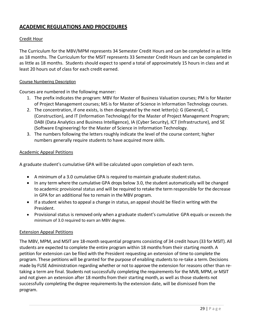# **ACADEMIC REGULATIONS AND PROCEDURES**

### Credit Hour

The Curriculum for the MBV/MPM represents 34 Semester Credit Hours and can be completed in as little as 18 months. The Curriculum for the MSIT represents 33 Semester Credit Hours and can be completed in as little as 18 months. Students should expect to spend a total of approximately 15 hours in class and at least 20 hours out of class for each credit earned.

#### Course Numbering Description

Courses are numbered in the following manner:

- 1. The prefix indicates the program: MBV for Master of Business Valuation courses; PM is for Master of Project Management courses; MS is for Master of Science in Information Technology courses.
- 2. The concentration, if one exists, is then designated by the next letter(s): G (General), C (Construction), and IT (Information Technology) for the Master of Project Management Program; DABI (Data Analytics and Business Intelligence), IA (Cyber Security), ICT (Infrastructure), and SE (Software Engineering) for the Master of Science in Information Technology.
- 3. The numbers following the letters roughly indicate the level of the course content; higher numbers generally require students to have acquired more skills.

#### Academic Appeal Petitions

A graduate student's cumulative GPA will be calculated upon completion of each term.

- A minimum of a 3.0 cumulative GPA is required to maintain graduate student status.
- In any term where the cumulative GPA drops below 3.0, the student automatically will be changed to academic provisional status and will be required to retake the term responsible for the decrease in GPA for an additional fee to remain in the MBV program.
- If a student wishes to appeal a change in status, an appeal should be filed in writing with the President.
- Provisional status is removed only when a graduate student's cumulative GPA equals or exceeds the minimum of 3.0 required to earn an MBV degree.

#### Extension Appeal Petitions

The MBV, MPM, and MSIT are 18-month sequential programs consisting of 34 credit hours(33 for MSIT). All students are expected to complete the entire program within 18 months from their starting month. A petition for extension can be filed with the President requesting an extension of time to complete the program. These petitions will be granted for the purpose of enabling students to re-take a term. Decisions made by FUSE Administration regarding whether or not to approve the extension for reasons other than retaking a term are final. Students not successfully completing the requirements for the MVB, MPM, or MSIT and not given an extension after 18 months from their starting month, as well as those students not successfully completing the degree requirements by the extension date, will be dismissed from the program.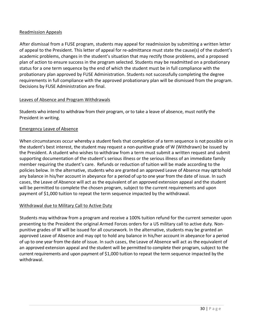#### Readmission Appeals

After dismissal from a FUSE program, students may appeal for readmission by submitting a written letter of appeal to the President. This letter of appeal for re-admittance must state the cause(s) of the student's academic problems, changes in the student's situation that may rectify those problems, and a proposed plan of action to ensure success in the program selected. Students may be readmitted on a probationary status for a one term sequence by the end of which the student must be in full compliance with the probationary plan approved by FUSE Administration. Students not successfully completing the degree requirements in full compliance with the approved probationary plan will be dismissed from the program. Decisions by FUSE Administration are final.

#### Leaves of Absence and Program Withdrawals

Students who intend to withdraw from their program, or to take a leave of absence, must notify the President in writing.

#### Emergency Leave of Absence

When circumstances occur whereby a student feels that completion of a term sequence is not possible or in the student's best interest, the student may request a non-punitive grade of W (Withdrawn) be issued by the President. A student who wishes to withdraw from a term must submit a written request and submit supporting documentation of the student's serious illness or the serious illness of an immediate family member requiring the student's care. Refunds or reduction of tuition will be made according to the policies below. In the alternative, students who are granted an approved Leave of Absence may opt tohold any balance in his/her account in abeyance for a period of up to one year from the date of issue. In such cases, the Leave of Absence will act as the equivalent of an approved extension appeal and the student will be permitted to complete the chosen program, subject to the current requirements and upon payment of \$1,000 tuition to repeat the term sequence impacted by the withdrawal.

#### Withdrawal due to Military Call to Active Duty

Students may withdraw from a program and receive a 100% tuition refund for the current semester upon presenting to the President the original Armed Forces orders for a US military call to active duty. Nonpunitive grades of W will be issued for all coursework. In the alternative, students may be granted an approved Leave of Absence and may opt to hold any balance in his/her account in abeyance for a period of up to one year from the date of issue. In such cases, the Leave of Absence will act as the equivalent of an approved extension appeal and the student will be permitted to complete their program, subject to the current requirements and upon payment of \$1,000 tuition to repeat the term sequence impacted by the withdrawal.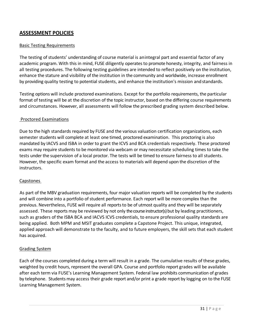# **ASSESSMENT POLICIES**

#### **Basic Testing Requirements**

The testing of students' understanding of course material is anintegral part and essential factor of any academic program. With this in mind, FUSE diligently operates to promote honesty, integrity, and fairness in all testing procedures. The following testing guidelines are intended to reflect positively on the institution, enhance the stature and visibility of the institution in the community and worldwide, increase enrollment by providing quality testing to potential students, and enhance the institution's mission andstandards.

Testing options will include proctored examinations. Except for the portfolio requirements, the particular format of testing will be at the discretion of the topic instructor, based on the differing course requirements and circumstances. However, all assessments will follow the prescribed grading system described below.

#### Proctored Examinations

Due to the high standards required by FUSE and the various valuation certification organizations, each semester students will complete at least one timed, proctored examination. This proctoring is also mandated by IACVS and ISBA in order to grant the ICVS and BCA credentials respectively. These proctored exams may require students to be monitored via webcam or may necessitate scheduling times to take the tests under the supervision of a local proctor. The tests will be timed to ensure fairness to all students. However, the specific exam format and the access to materials will depend upon the discretion of the instructors.

#### Capstones

As part of the MBV graduation requirements, four major valuation reports will be completed by the students and will combine into a portfolio of student performance. Each report will be more complex than the previous. Nevertheless, FUSE will require all reports to be of utmost quality and they will be separately assessed. These reports may be reviewed by not only the course instructor(s) but by leading practitioners, such as graders of the ISBA BCA and IACVS ICVS credentials, to ensure professional quality standards are being applied. Both MPM and MSIT graduates complete a Capstone Project. This unique, integrated, applied approach will demonstrate to the faculty, and to future employers, the skill sets that each student has acquired.

#### Grading System

Each of the courses completed during a term will result in a grade. The cumulative results of these grades, weighted by credit hours, represent the overall GPA. Course and portfolio report grades will be available after each term via FUSE's Learning Management System. Federal law prohibits communication of grades by telephone. Students may access their grade report and/or print a grade report by logging on to the FUSE Learning Management System.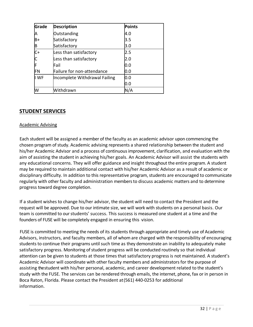| Grade     | <b>Description</b>            | <b>Points</b> |
|-----------|-------------------------------|---------------|
| И         | Outstanding                   | 4.0           |
| B+        | Satisfactory                  | 3.5           |
| B         | Satisfactory                  | 3.0           |
| $C+$      | Less than satisfactory        | 2.5           |
| $\vert c$ | Less than satisfactory        | 2.0           |
| ┢         | Fail                          | 0.0           |
| FN        | Failure for non-attendance    | 0.0           |
| I WF      | Incomplete Withdrawal Failing | 0.0           |
|           |                               | 0.0           |
| W         | Withdrawn                     | N/A           |

# **STUDENT SERVICES**

#### Academic Advising

Each student will be assigned a member of the faculty as an academic advisor upon commencing the chosen program of study. Academic advising represents a shared relationship between the student and his/her Academic Advisor and a process of continuous improvement, clarification, and evaluation with the aim of assisting the student in achieving his/her goals. An Academic Advisor will assist the students with any educational concerns. They will offer guidance and insight throughout the entire program. A student may be required to maintain additional contact with his/her Academic Advisor as a result of academic or disciplinary difficulty. In addition to this representative program, students are encouraged to communicate regularly with other faculty and administration members to discuss academic matters and to determine progress toward degree completion.

If a student wishes to change his/her advisor, the student will need to contact the President and the request will be approved. Due to our intimate size, we will work with students on a personal basis. Our team is committed to our students' success. This success is measured one student at a time and the founders of FUSE will be completely engaged in ensuring this vision.

FUSE is committed to meeting the needs of its students through appropriate and timely use of Academic Advisors, instructors, and faculty members, all of whom are charged with the responsibility of encouraging students to continue their programs until such time as they demonstrate an inability to adequately make satisfactory progress. Monitoring of student progress will be conducted routinely so that individual attention can be given to students at those times that satisfactory progress is not maintained. A student's Academic Advisor will coordinate with other faculty members and administrators for the purpose of assisting the student with his/her personal, academic, and career development related to the student's study with the FUSE. The services can be rendered through emails, the internet, phone, fax or in person in Boca Raton, Florida. Please contact the President at(561) 440-0253 for additional information.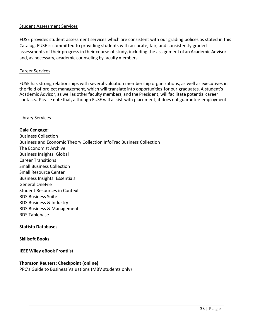#### Student Assessment Services

FUSE provides student assessment services which are consistent with our grading polices as stated in this Catalog. FUSE is committed to providing students with accurate, fair, and consistently graded assessments of their progress in their course of study, including the assignment of an Academic Advisor and, as necessary, academic counseling by faculty members.

#### Career Services

FUSE has strong relationships with several valuation membership organizations, as well as executives in the field of project management, which will translate into opportunities for our graduates. A student's Academic Advisor, as well as other faculty members, and the President, will facilitate potential career contacts. Please note that, although FUSE will assist with placement, it does not guarantee employment.

#### Library Services

# **Gale Cengage:** Business Collection Business and Economic Theory Collection InfoTrac Business Collection The Economist Archive Business Insights: Global Career Transitions Small Business Collection Small Resource Center Business Insights: Essentials General OneFile Student Resources in Context RDS Business Suite RDS Business & Industry RDS Business & Management RDS Tablebase

#### **Statista Databases**

#### **Skillsoft Books**

#### **IEEE Wiley eBook Frontlist**

#### **Thomson Reuters: Checkpoint (online)**

PPC's Guide to Business Valuations (MBV students only)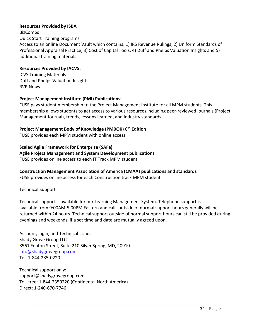#### **Resources Provided by ISBA**

**BizComps** 

Quick Start Training programs

Access to an online Document Vault which contains: 1) IRS Revenue Rulings, 2) Uniform Standards of Professional Appraisal Practice, 3) Cost of Capital Tools, 4) Duff and Phelps Valuation Insights and 5) additional training materials

#### **Resources Provided by IACVS:**

ICVS Training Materials Duff and Phelps Valuation Insights BVR News

# **Project Management Institute (PMI) Publications:**

FUSE pays student membership to the Project Management Institute for all MPM students. This membership allows students to get access to various resources including peer-reviewed journals (Project Management Journal), trends, lessons learned, and industry standards.

# **Project Management Body of Knowledge (PMBOK) 6th Edition**

FUSE provides each MPM student with online access.

#### **Scaled Agile Framework for Enterprise (SAFe)**

#### **Agile Project Management and System Development publications**

FUSE provides online access to each IT Track MPM student.

# **Construction Management Association of America (CMAA) publications and standards**

FUSE provides online access for each Construction track MPM student.

# Technical Support

Technical support is available for our Learning Management System. Telephone support is available from 9:00AM-5:00PM Eastern and calls outside of normal support hours generally will be returned within 24 hours. Technical support outside of normal support hours can still be provided during evenings and weekends, if a set time and date are mutually agreed upon.

Account, login, and Technical issues: Shady Grove Group LLC. 8561 Fenton Street, Suite 210 Silver Spring, MD, 20910 info@shadygrovegroup.com Tel: 1-844-235-0220

Technical support only: support@shadygrovegroup.com Toll-free: 1-844-2350220 (Continental North America) Direct: 1-240-670-7746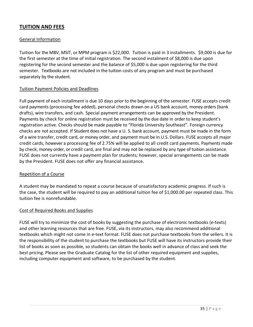# **TUITION AND FEES**

#### General Information

Tuition for the MBV, MSIT, or MPM program is \$22,000. Tuition is paid in 3 installments. \$9,000 is due for the first semester at the time of initial registration. The second instalment of \$8,000 is due upon registering for the second semester and the balance of \$5,000 is due upon registering for the third semester. Textbooks are not included in the tuition costs of any program and must be purchased separately by the student.

#### Tuition Payment Policies and Deadlines

Full payment of each installment is due 10 days prior to the beginning of the semester. FUSE accepts credit card payments (processing fee added), personal checks drawn on a US bank account, money orders (bank drafts), wire transfers, and cash. Special payment arrangements can be approved by the President. Payments by check for online registration must be received by the due date in order to keep student's registration active. Checks should be made payable to "Florida University Southeast". Foreign currency checks are not accepted. If Student does not have a U. S. bank account, payment must be made in the form of a wire transfer, credit card, or money order, and payment must be in U.S. Dollars. FUSE accepts all major credit cards, however a processing fee of 2.75% will be applied to all credit card payments. Payments made by check, money order, or credit card, are final and may not be replaced by any type of tuition assistance. FUSE does not currently have a payment plan for students; however, special arrangements can be made by the President. FUSE does not offer any financial assistance.

#### Repetition of a Course

A student may be mandated to repeat a course because of unsatisfactory academic progress. If such is the case, the student will be required to pay an additional tuition fee of \$1,000.00 per repeated class. This tuition fee is nonrefundable.

#### Cost of Required Books and Supplies

FUSE will try to minimize the cost of books by suggesting the purchase of electronic textbooks (e-texts) and other learning resources that are free. FUSE, via its instructors, may also recommend additional textbooks which might not come in e-text format. FUSE does not purchase textbooks from the sellers. It is the responsibility of the student to purchase the textbooks but FUSE will have its instructors provide their list of books as soon as possible, so students can obtain the books well in advance of class and seek the best pricing. Please see the Graduate Catalog for the list of other required equipment and supplies, including computer equipment and software, to be purchased by the student.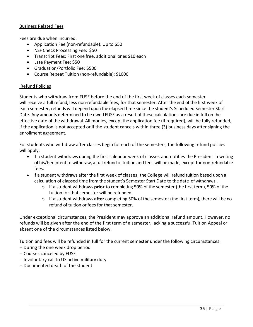#### Business Related Fees

Fees are due when incurred.

- Application Fee (non-refundable): Up to \$50
- NSF Check Processing Fee: \$50
- Transcript Fees: First one free, additional ones \$10 each
- Late Payment Fee: \$50
- Graduation/Portfolio Fee: \$500
- Course Repeat Tuition (non-refundable): \$1000

#### Refund Policies

Students who withdraw from FUSE before the end of the first week of classes each semester will receive a full refund, less non-refundable fees, for that semester. After the end of the first week of each semester, refunds will depend upon the elapsed time since the student's Scheduled Semester Start Date. Any amounts determined to be owed FUSE as a result of these calculations are due in full on the effective date of the withdrawal. All monies, exceptthe application fee (if required), will be fully refunded, if the application is not accepted or if the student cancels within three (3) business days after signing the enrollment agreement.

For students who withdraw after classes begin for each of the semesters, the following refund policies will apply:

- If a student withdraws during the first calendar week of classes and notifies the President in writing of his/her intent to withdraw, a full refund of tuition and fees will be made, except for non-refundable fees.
- If a student withdraws after the first week of classes, the College will refund tuition based upon a calculation of elapsed time from the student's Semester Start Date to the date of withdrawal.
	- o If a student withdraws **prior** to completing 50% of the semester (the first term), 50% of the tuition for that semester will be refunded.
	- o If a student withdraws **after** completing 50% of the semester (the first term), there will be no refund of tuition or fees for that semester.

Under exceptional circumstances, the President may approve an additional refund amount. However, no refunds will be given after the end of the first term of a semester, lacking a successful Tuition Appeal or absent one of the circumstances listed below.

Tuition and fees will be refunded in full for the current semester under the following circumstances:

- -- During the one week drop period
- -- Courses canceled by FUSE
- -- Involuntary call to US active military duty
- -- Documented death of the student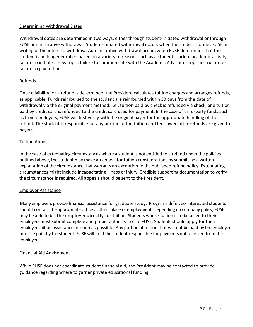### Determining Withdrawal Dates

Withdrawal dates are determined in two ways, either through student-initiated withdrawal or through FUSE administrative withdrawal. Student-initiated withdrawal occurs when the student notifies FUSE in writing of the intent to withdraw. Administrative withdrawal occurs when FUSE determines that the student is no longer enrolled based on a variety of reasons such as a student's lack of academic activity, failure to initiate a new topic, failure to communicate with the Academic Advisor or topic instructor, or failure to pay tuition.

#### Refunds

Once eligibility for a refund is determined, the President calculates tuition charges and arranges refunds, as applicable. Funds reimbursed to the student are reimbursed within 30 days from the date of withdrawal via the original payment method; i.e., tuition paid by check is refunded via check, and tuition paid by credit card is refunded to the credit card used for payment. In the case of third-party funds such as from employers, FUSE will first verify with the original payer for the appropriate handling of the refund. The student is responsible for any portion of the tuition and fees owed after refunds are given to payers.

#### Tuition Appeal

In the case of extenuating circumstances where a student is not entitled to a refund under the policies outlined above, the student may make an appeal for tuition considerations by submitting a written explanation of the circumstance that warrants an exception to the published refund policy. Extenuating circumstances might include incapacitating illness or injury. Credible supporting documentation to verify the circumstance is required. All appeals should be sent to the President.

#### Employer Assistance

Many employers provide financial assistance for graduate study. Programs differ, so interested students should contact the appropriate office at their place of employment. Depending on company policy, FUSE may be able to bill the employer directly for tuition. Students whose tuition is to be billed to their employers must submit complete and proper authorization to FUSE. Students should apply for their employer tuition assistance as soon as possible. Any portion of tuition that will not be paid by the employer must be paid by the student. FUSE will hold the student responsible for payments not received from the employer.

#### Financial Aid Advisement

While FUSE does not coordinate student financial aid, the President may be contacted to provide guidance regarding where to garner private educational funding.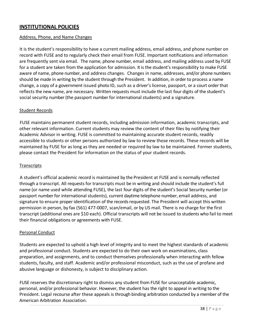# **INSTITUTIONAL POLICIES**

#### Address, Phone, and Name Changes

It is the student's responsibility to have a current mailing address, email address, and phone number on record with FUSE and to regularly check their email from FUSE. Important notifications and information are frequently sent via email. The name, phone number, email address, and mailing address used by FUSE for a student are taken from the application for admission. It is the student's responsibility to make FUSE aware of name, phone number, and address changes. Changes in name, addresses, and/or phone numbers should be made in writing by the student through the President. In addition, in order to process a name change, a copy of a government issued photo ID, such as a driver's license, passport, or a court order that reflects the new name, are necessary. Written requests must include the last four digits of the student's social security number (the passport number for international students) and a signature.

#### Student Records

FUSE maintains permanent student records, including admission information, academic transcripts, and other relevant information. Current students may review the content of their files by notifying their Academic Advisor in writing. FUSE is committed to maintaining accurate student records, readily accessible to students or other persons authorized by law to review those records. These records will be maintained by FUSE for as long as they are needed or required by law to be maintained. Former students, please contact the President for information on the status of your student records.

### **Transcripts**

A student's official academic record is maintained by the President at FUSE and is normally reflected through a transcript. All requests for transcripts must be in writing and should include the student's full name (or name used while attending FUSE), the last four digits of the student's Social Security number (or passport number for international students), current daytime telephone number, email address, and signature to ensure proper identification of the records requested. The President will accept this written permission in person, by fax (561) 477-0007, scan/email, or by US mail. There is no charge for the first transcript (additional ones are \$10 each). Official transcripts will not be issued to students who fail to meet their financial obligations or agreements with FUSE.

#### Personal Conduct

Students are expected to uphold a high level of integrity and to meet the highest standards of academic and professional conduct. Students are expected to do their own work on examinations, class preparation, and assignments, and to conduct themselves professionally when interacting with fellow students, faculty, and staff. Academic and/or professional misconduct, such as the use of profane and abusive language or dishonesty, is subject to disciplinary action.

FUSE reserves the discretionary right to dismiss any student from FUSE for unacceptable academic, personal, and/or professional behavior. However, the student has the right to appeal in writing to the President. Legal recourse after these appeals is through binding arbitration conducted by a member of the American Arbitration Association.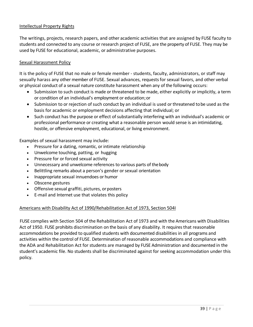#### Intellectual Property Rights

The writings, projects, research papers, and other academic activities that are assigned by FUSE faculty to students and connected to any course or research project of FUSE, are the property of FUSE. They may be used by FUSE for educational, academic, or administrative purposes.

#### Sexual Harassment Policy

It is the policy of FUSE that no male or female member - students, faculty, administrators, or staff may sexually harass any other member of FUSE. Sexual advances, requests for sexual favors, and other verbal or physical conduct of a sexual nature constitute harassment when any of the following occurs:

- Submission to such conduct is made or threatened to be made, either explicitly or implicitly, a term or condition of an individual's employment or education;or
- Submission to or rejection of such conduct by an individual is used or threatened tobe used as the basis for academic or employment decisions affecting that individual; or
- Such conduct has the purpose or effect of substantially interfering with an individual's academic or professional performance or creating what a reasonable person would sense is an intimidating, hostile, or offensive employment, educational, or living environment.

Examples of sexual harassment may include:

- Pressure for a dating, romantic, or intimate relationship
- Unwelcome touching, patting, or hugging
- Pressure for or forced sexual activity
- Unnecessary and unwelcome references to various parts of thebody
- Belittling remarks about a person's gender or sexual orientation
- Inappropriate sexual innuendoes or humor
- Obscene gestures
- Offensive sexual graffiti, pictures, or posters
- E-mail and Internet use that violates this policy

#### Americans with Disability Act of 1990/Rehabilitation Act of 1973, Section 504I

FUSE complies with Section 504 of the Rehabilitation Act of 1973 and with the Americans with Disabilities Act of 1950. FUSE prohibits discrimination on the basis of any disability. It requires that reasonable accommodations be provided to qualified students with documented disabilities in all programs and activities within the control of FUSE. Determination of reasonable accommodations and compliance with the ADA and Rehabilitation Act for students are managed by FUSE Administration and documented in the student's academic file. No students shall be discriminated against for seeking accommodation under this policy.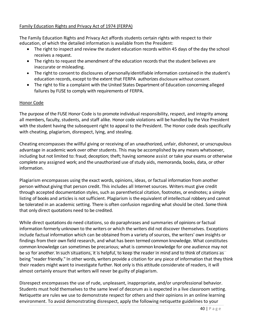### Family Education Rights and Privacy Act of 1974 (FERPA)

The Family Education Rights and Privacy Act affords students certain rights with respect to their education, of which the detailed information is available from the President:

- The right to inspect and review the student education records within 45 days of the day the school receives a request.
- The rights to request the amendment of the education records that the student believes are inaccurate or misleading.
- The right to consent to disclosures of personallyidentifiable information contained in the student's education records, except to the extent that FERPA authorizes disclosure without consent.
- The right to file a complaint with the United States Department of Education concerning alleged failures by FUSE to comply with requirements of FERPA.

#### Honor Code

The purpose of the FUSE Honor Code is to promote individual responsibility, respect, and integrity among all members, faculty, students, and staff alike. Honor code violations will be handled by the Vice President with the student having the subsequent right to appeal to the President. The Honor code deals specifically with cheating, plagiarism, disrespect, lying, and stealing.

Cheating encompasses the willful giving or receiving of an unauthorized, unfair, dishonest, or unscrupulous advantage in academic work over other students. This may be accomplished by any means whatsoever, including but not limited to: fraud; deception; theft; having someone assist or take your exams or otherwise complete any assigned work; and the unauthorized use of study aids, memoranda, books, data, or other information.

Plagiarism encompasses using the exact words, opinions, ideas, or factual information from another person without giving that person credit. This includes all Internet sources. Writers must give credit through accepted documentation styles, such as parenthetical citation, footnotes, or endnotes; a simple listing of books and articles is not sufficient. Plagiarism is the equivalent of intellectual robbery and cannot be tolerated in an academic setting. There is often confusion regarding what should be cited. Some think that only direct quotations need to be credited.

While direct quotations do need citations, so do paraphrases and summaries of opinions or factual information formerly unknown to the writers or which the writers did not discover themselves. Exceptions include factual information which can be obtained from a variety of sources, the writers' own insights or findings from their own field research, and what has been termed common knowledge. What constitutes common knowledge can sometimes be precarious; what is common knowledge for one audience may not be so for another. In such situations, it is helpful, to keep the reader in mind and to think of citations as being "reader friendly." In other words, writers provide a citation for any piece of information that they think their readers might want to investigate further. Not only is this attitude considerate of readers, it will almost certainly ensure that writers will never be guilty of plagiarism.

Disrespect encompasses the use of rude, unpleasant, inappropriate, and/or unprofessional behavior. Students must hold themselves to the same level of decorum as is expected in a live classroom setting. Netiquette are rules we use to demonstrate respect for others and their opinions in an online learning environment. To avoid demonstrating disrespect, apply the following netiquette guidelines to your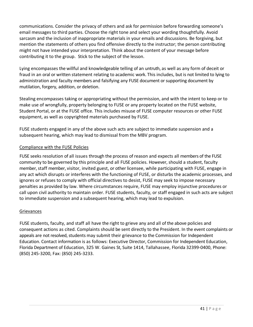communications. Consider the privacy of others and ask for permission before forwarding someone's email messages to third parties. Choose the right tone and select your wording thoughtfully. Avoid sarcasm and the inclusion of inappropriate materials in your emails and discussions. Be forgiving, but mention the statements of others you find offensive directly to the instructor; the person contributing might not have intended your interpretation. Think about the content of your message before contributing it to the group. Stick to the subject of the lesson.

Lying encompasses the willful and knowledgeable telling of an untruth, as well as any form of deceit or fraud in an oral or written statement relating to academic work. This includes, but is not limited to lying to administration and faculty members and falsifying any FUSE document or supporting document by mutilation, forgery, addition, or deletion.

Stealing encompasses taking or appropriating without the permission, and with the intent to keep or to make use of wrongfully, property belonging to FUSE or any property located on the FUSE website, Student Portal, or at the FUSE office. This includes misuse of FUSE computer resources or other FUSE equipment, as well as copyrighted materials purchased by FUSE.

FUSE students engaged in any of the above such acts are subject to immediate suspension and a subsequent hearing, which may lead to dismissal from the MBV program.

# Compliance with the FUSE Policies

FUSE seeks resolution of all issues through the process of reason and expects all members of the FUSE community to be governed by this principle and all FUSE policies. However, should a student, faculty member, staff member, visitor, invited guest, or other licensee, while participating with FUSE, engage in any act which disrupts or interferes with the functioning of FUSE, or disturbs the academic processes, and ignores or refuses to comply with official directives to desist, FUSE may seek to impose necessary penalties as provided by law. Where circumstances require, FUSE may employ injunctive procedures or call upon civil authority to maintain order. FUSE students, faculty, or staff engaged in such acts are subject to immediate suspension and a subsequent hearing, which may lead to expulsion.

# Grievances

FUSE students, faculty, and staff all have the right to grieve any and all of the above policies and consequent actions as cited. Complaints should be sent directly to the President. In the event complaints or appeals are not resolved, students may submit their grievance to the Commission for Independent Education. Contact information is as follows: Executive Director, Commission for Independent Education, Florida Department of Education, 325 W. Gaines St, Suite 1414, Tallahassee, Florida 32399-0400, Phone: (850) 245-3200, Fax: (850) 245-3233.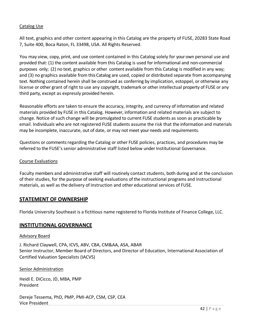# Catalog Use

All text, graphics and other content appearing in this Catalog are the property of FUSE, 20283 State Road 7, Suite 400, Boca Raton, FL 33498, USA. All Rights Reserved.

You may view, copy, print, and use content contained in this Catalog solely for your own personal use and provided that: (1) the content available from this Catalog is used for informational and non-commercial purposes only; (2) no text, graphics or other content available from this Catalog is modified in any way; and (3) no graphics available from this Catalog are used, copied or distributed separate from accompanying text. Nothing contained herein shall be construed as conferring by implication, estoppel, or otherwise any license or other grant of right to use any copyright, trademark or other intellectual property of FUSE or any third party, except as expressly provided herein.

Reasonable efforts are taken to ensure the accuracy, integrity, and currency of information and related materials provided by FUSE in this Catalog. However, information and related materials are subject to change. Notice of such change will be promulgated to current FUSE students as soon as practicable by email. Individuals who are not registered FUSE students assume the risk that the information and materials may be incomplete, inaccurate, out of date, or may not meet your needs and requirements.

Questions or comments regarding the Catalog or other FUSE policies, practices, and procedures may be referred to the FUSE's senior administrative staff listed below under Institutional Governance.

#### Course Evaluations

Faculty members and administrative staff will routinely contact students, both during and at the conclusion of their studies, for the purpose of seeking evaluations of the instructional programs and instructional materials, as well as the delivery of instruction and other educational services of FUSE.

# **STATEMENT OF OWNERSHIP**

Florida University Southeast is a fictitious name registered to Florida Institute of Finance College, LLC.

# **INSTITUTIONAL GOVERNANCE**

#### Advisory Board

J. Richard Claywell, CPA, ICVS, ABV, CBA, CM&AA, ASA, ABAR Senior Instructor, Member Board of Directors, and Director of Education, International Association of Certified Valuation Specialists (IACVS)

#### Senior Administration

Heidi E. DiCicco, JD, MBA, PMP President

Dereje Tessema, PhD, PMP, PMI-ACP, CSM, CSP, CEA Vice President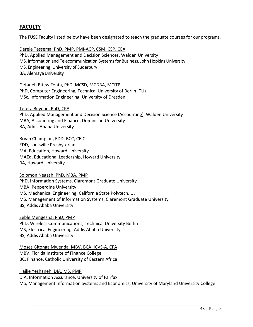# **FACULTY**

The FUSE Faculty listed below have been designated to teach the graduate courses for our programs.

Dereje Tessema, PhD, PMP, PMI-ACP, CSM, CSP, CEA PhD, Applied Management and Decision Sciences, Walden University MS, Information and Telecommunication Systems for Business, John Hopkins University MS, Engineering, University of Suderbury BA, Alemaya University

Getaneh Bitew Fenta, PhD, MCSD, MCDBA, MCITP PhD, Computer Engineering, Technical University of Berlin (TU) MSc, Information Engineering, University of Dresden

Tefera Beyene, PhD, CPA

PhD, Applied Management and Decision Science (Accounting), Walden University MBA, Accounting and Finance, Dominican University BA, Addis Ababa University

#### Bryan Champion, EDD, BCC, CEIC

EDD, Louisville Presbyterian MA, Education, Howard University MAEd, Educational Leadership, Howard University BA, Howard University

#### Solomon Negash, PhD, MBA, PMP

PhD, Information Systems, Claremont Graduate University MBA, Pepperdine University MS, Mechanical Engineering, California State Polytech. U. MS, Management of Information Systems, Claremont Graduate University BS, Addis Ababa University

Seble Mengesha, PhD, PMP PhD, Wireless Communications, Technical University Berlin MS, Electrical Engineering, Addis Ababa University BS, Addis Ababa University

Moses Gitonga Mwenda, MBV, BCA, ICVS-A, CFA MBV, Florida Institute of Finance College BC, Finance, Catholic University of Eastern Africa

Hailie Yeshaneh, DIA, MS, PMP DIA, Information Assurance, University of Fairfax MS, Management Information Systems and Economics, University of Maryland University College